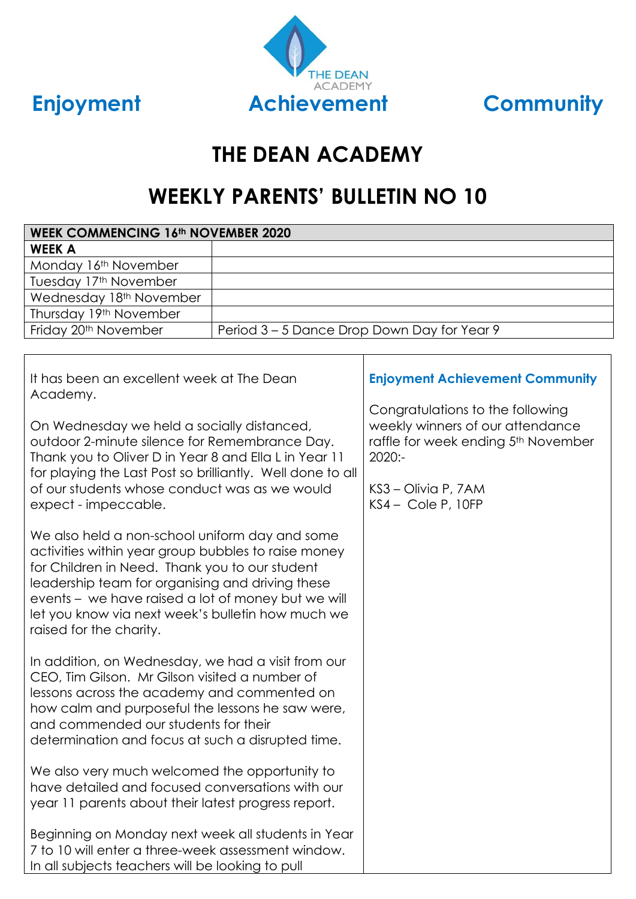



# **THE DEAN ACADEMY**

## **WEEKLY PARENTS' BULLETIN NO 10**

| <b>WEEK COMMENCING 16th NOVEMBER 2020</b>                                                                                                                                                                                                                                                                                                         |  |                                                                                                                          |  |
|---------------------------------------------------------------------------------------------------------------------------------------------------------------------------------------------------------------------------------------------------------------------------------------------------------------------------------------------------|--|--------------------------------------------------------------------------------------------------------------------------|--|
| <b>WEEK A</b>                                                                                                                                                                                                                                                                                                                                     |  |                                                                                                                          |  |
| Monday 16th November                                                                                                                                                                                                                                                                                                                              |  |                                                                                                                          |  |
| Tuesday 17th November                                                                                                                                                                                                                                                                                                                             |  |                                                                                                                          |  |
| Wednesday 18th November                                                                                                                                                                                                                                                                                                                           |  |                                                                                                                          |  |
| Thursday 19th November                                                                                                                                                                                                                                                                                                                            |  |                                                                                                                          |  |
| Friday 20 <sup>th</sup> November<br>Period 3 – 5 Dance Drop Down Day for Year 9                                                                                                                                                                                                                                                                   |  |                                                                                                                          |  |
|                                                                                                                                                                                                                                                                                                                                                   |  |                                                                                                                          |  |
| It has been an excellent week at The Dean<br>Academy.                                                                                                                                                                                                                                                                                             |  | <b>Enjoyment Achievement Community</b>                                                                                   |  |
| On Wednesday we held a socially distanced,<br>outdoor 2-minute silence for Remembrance Day.<br>Thank you to Oliver D in Year 8 and Ella L in Year 11<br>for playing the Last Post so brilliantly. Well done to all<br>of our students whose conduct was as we would<br>expect - impeccable.                                                       |  | Congratulations to the following<br>weekly winners of our attendance<br>raffle for week ending 5th November<br>$2020: -$ |  |
|                                                                                                                                                                                                                                                                                                                                                   |  | KS3 - Olivia P, 7AM<br>$KSA - Cole P, 10FP$                                                                              |  |
| We also held a non-school uniform day and some<br>activities within year group bubbles to raise money<br>for Children in Need. Thank you to our student<br>leadership team for organising and driving these<br>events - we have raised a lot of money but we will<br>let you know via next week's bulletin how much we<br>raised for the charity. |  |                                                                                                                          |  |
| In addition, on Wednesday, we had a visit from our<br>CEO, Tim Gilson. Mr Gilson visited a number of<br>lessons across the academy and commented on<br>how calm and purposeful the lessons he saw were,<br>and commended our students for their<br>determination and focus at such a disrupted time.                                              |  |                                                                                                                          |  |
| We also very much welcomed the opportunity to<br>have detailed and focused conversations with our<br>year 11 parents about their latest progress report.                                                                                                                                                                                          |  |                                                                                                                          |  |
| Beginning on Monday next week all students in Year<br>7 to 10 will enter a three-week assessment window.<br>In all subjects teachers will be looking to pull                                                                                                                                                                                      |  |                                                                                                                          |  |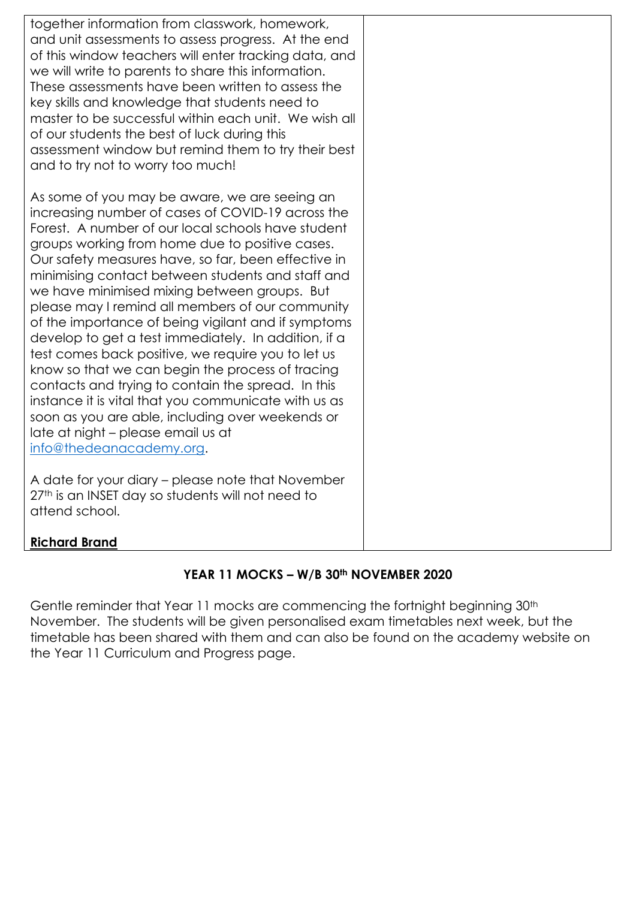| together information from classwork, homework,<br>and unit assessments to assess progress. At the end<br>of this window teachers will enter tracking data, and<br>we will write to parents to share this information.<br>These assessments have been written to assess the<br>key skills and knowledge that students need to<br>master to be successful within each unit. We wish all<br>of our students the best of luck during this<br>assessment window but remind them to try their best<br>and to try not to worry too much!                                                                                                                                                                                                                                                                                                                                                        |  |
|------------------------------------------------------------------------------------------------------------------------------------------------------------------------------------------------------------------------------------------------------------------------------------------------------------------------------------------------------------------------------------------------------------------------------------------------------------------------------------------------------------------------------------------------------------------------------------------------------------------------------------------------------------------------------------------------------------------------------------------------------------------------------------------------------------------------------------------------------------------------------------------|--|
| As some of you may be aware, we are seeing an<br>increasing number of cases of COVID-19 across the<br>Forest. A number of our local schools have student<br>groups working from home due to positive cases.<br>Our safety measures have, so far, been effective in<br>minimising contact between students and staff and<br>we have minimised mixing between groups. But<br>please may I remind all members of our community<br>of the importance of being vigilant and if symptoms<br>develop to get a test immediately. In addition, if a<br>test comes back positive, we require you to let us<br>know so that we can begin the process of tracing<br>contacts and trying to contain the spread. In this<br>instance it is vital that you communicate with us as<br>soon as you are able, including over weekends or<br>late at night - please email us at<br>info@thedeanacademy.org. |  |
| A date for your diary – please note that November<br>27th is an INSET day so students will not need to<br>attend school.                                                                                                                                                                                                                                                                                                                                                                                                                                                                                                                                                                                                                                                                                                                                                                 |  |
| <b>Richard Brand</b>                                                                                                                                                                                                                                                                                                                                                                                                                                                                                                                                                                                                                                                                                                                                                                                                                                                                     |  |

### **YEAR 11 MOCKS – W/B 30th NOVEMBER 2020**

Gentle reminder that Year 11 mocks are commencing the fortnight beginning 30th November. The students will be given personalised exam timetables next week, but the timetable has been shared with them and can also be found on the academy website on the Year 11 Curriculum and Progress page.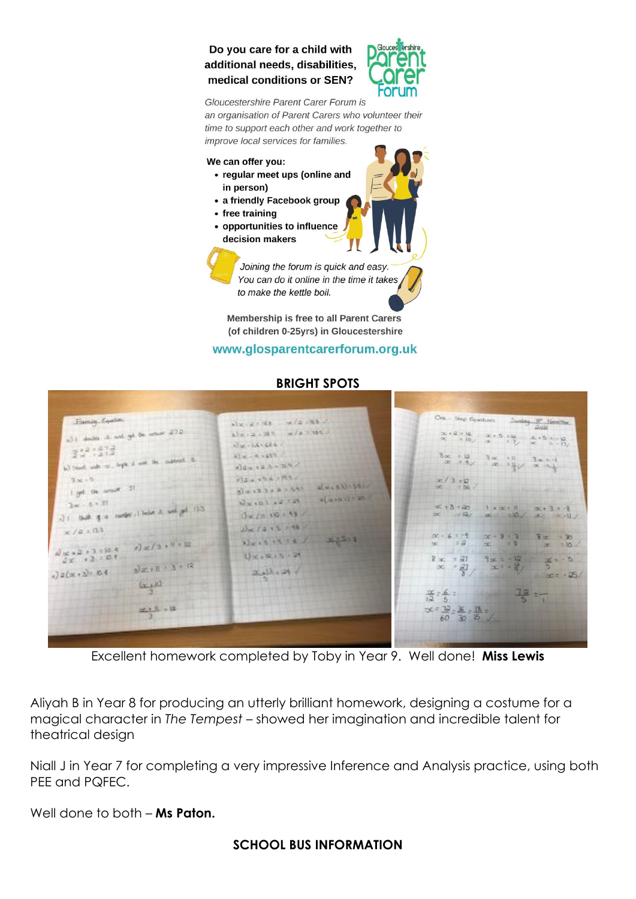#### Do you care for a child with additional needs, disabilities, medical conditions or SEN?



Gloucestershire Parent Carer Forum is an organisation of Parent Carers who volunteer their time to support each other and work together to improve local services for families.

#### We can offer you:

- regular meet ups (online and in person)
- a friendly Facebook group
- free training
- opportunities to influence decision makers

Joining the forum is quick and easy. You can do it online in the time it takes to make the kettle boil.

Membership is free to all Parent Carers (of children 0-25yrs) in Gloucestershire

#### www.glosparentcarerforum.org.uk



**BRIGHT SPOTS**

Excellent homework completed by Toby in Year 9. Well done! **Miss Lewis**

Aliyah B in Year 8 for producing an utterly brilliant homework, designing a costume for a magical character in *The Tempest* – showed her imagination and incredible talent for theatrical design

Niall J in Year 7 for completing a very impressive Inference and Analysis practice, using both PEE and PQFEC.

Well done to both – **Ms Paton.**